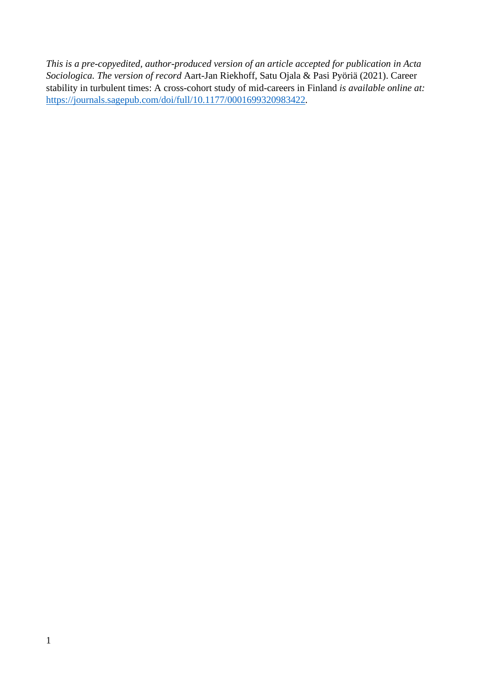*This is a pre-copyedited, author-produced version of an article accepted for publication in Acta Sociologica. The version of record* Aart-Jan Riekhoff, Satu Ojala & Pasi Pyöriä (2021). Career stability in turbulent times: A cross-cohort study of mid-careers in Finland *is available online at:*  <https://journals.sagepub.com/doi/full/10.1177/0001699320983422>*.*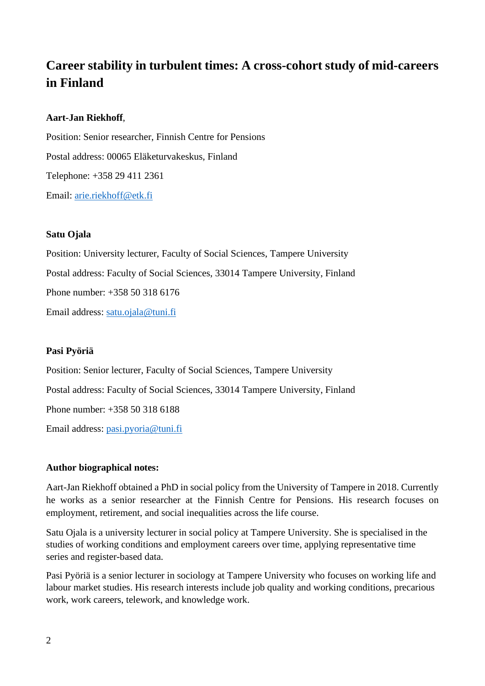# **Career stability in turbulent times: A cross-cohort study of mid-careers in Finland**

## **Aart-Jan Riekhoff**,

Position: Senior researcher, Finnish Centre for Pensions Postal address: 00065 Eläketurvakeskus, Finland Telephone: +358 29 411 2361 Email: [arie.riekhoff@etk.fi](mailto:arie.riekhoff@etk.fi)

## **Satu Ojala**

Position: University lecturer, Faculty of Social Sciences, Tampere University Postal address: Faculty of Social Sciences, 33014 Tampere University, Finland Phone number: +358 50 318 6176 Email address: [satu.ojala@tuni.fi](mailto:satu.ojala@tuni.fi)

## **Pasi Pyöriä**

Position: Senior lecturer, Faculty of Social Sciences, Tampere University Postal address: Faculty of Social Sciences, 33014 Tampere University, Finland Phone number: +358 50 318 6188 Email address: [pasi.pyoria@tuni.fi](mailto:pasi.pyoria@tuni.fi)

## **Author biographical notes:**

Aart-Jan Riekhoff obtained a PhD in social policy from the University of Tampere in 2018. Currently he works as a senior researcher at the Finnish Centre for Pensions. His research focuses on employment, retirement, and social inequalities across the life course.

Satu Ojala is a university lecturer in social policy at Tampere University. She is specialised in the studies of working conditions and employment careers over time, applying representative time series and register-based data.

Pasi Pyöriä is a senior lecturer in sociology at Tampere University who focuses on working life and labour market studies. His research interests include job quality and working conditions, precarious work, work careers, telework, and knowledge work.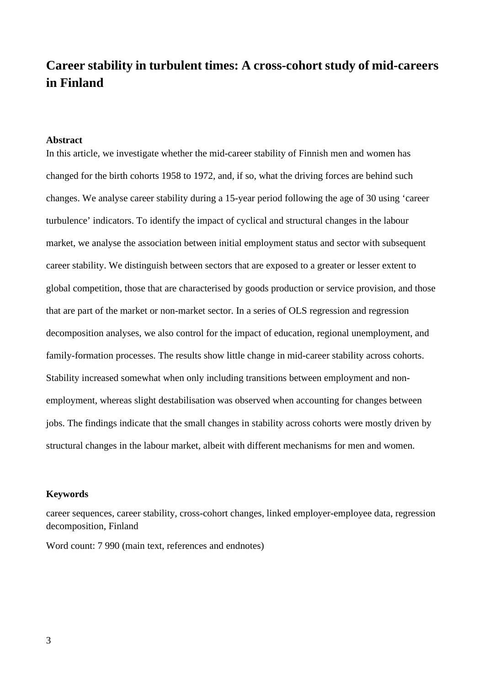# **Career stability in turbulent times: A cross-cohort study of mid-careers in Finland**

#### **Abstract**

In this article, we investigate whether the mid-career stability of Finnish men and women has changed for the birth cohorts 1958 to 1972, and, if so, what the driving forces are behind such changes. We analyse career stability during a 15-year period following the age of 30 using 'career turbulence' indicators. To identify the impact of cyclical and structural changes in the labour market, we analyse the association between initial employment status and sector with subsequent career stability. We distinguish between sectors that are exposed to a greater or lesser extent to global competition, those that are characterised by goods production or service provision, and those that are part of the market or non-market sector. In a series of OLS regression and regression decomposition analyses, we also control for the impact of education, regional unemployment, and family-formation processes. The results show little change in mid-career stability across cohorts. Stability increased somewhat when only including transitions between employment and nonemployment, whereas slight destabilisation was observed when accounting for changes between jobs. The findings indicate that the small changes in stability across cohorts were mostly driven by structural changes in the labour market, albeit with different mechanisms for men and women.

#### **Keywords**

career sequences, career stability, cross-cohort changes, linked employer-employee data, regression decomposition, Finland

Word count: 7 990 (main text, references and endnotes)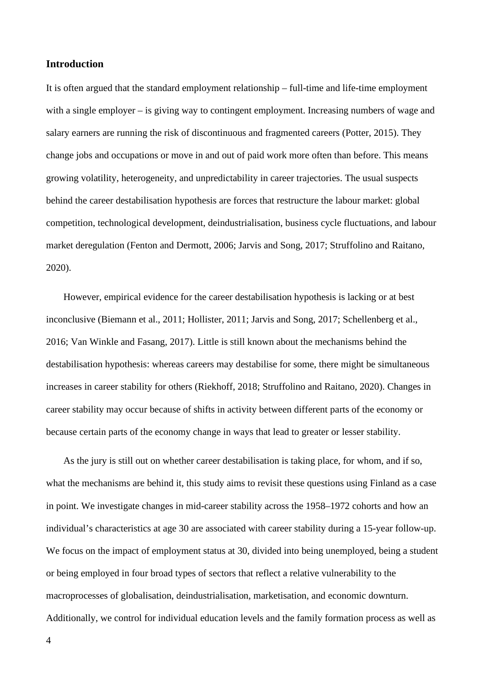## **Introduction**

It is often argued that the standard employment relationship – full-time and life-time employment with a single employer – is giving way to contingent employment. Increasing numbers of wage and salary earners are running the risk of discontinuous and fragmented careers (Potter, 2015). They change jobs and occupations or move in and out of paid work more often than before. This means growing volatility, heterogeneity, and unpredictability in career trajectories. The usual suspects behind the career destabilisation hypothesis are forces that restructure the labour market: global competition, technological development, deindustrialisation, business cycle fluctuations, and labour market deregulation (Fenton and Dermott, 2006; Jarvis and Song, 2017; Struffolino and Raitano, 2020).

However, empirical evidence for the career destabilisation hypothesis is lacking or at best inconclusive (Biemann et al., 2011; Hollister, 2011; Jarvis and Song, 2017; Schellenberg et al., 2016; Van Winkle and Fasang, 2017). Little is still known about the mechanisms behind the destabilisation hypothesis: whereas careers may destabilise for some, there might be simultaneous increases in career stability for others (Riekhoff, 2018; Struffolino and Raitano, 2020). Changes in career stability may occur because of shifts in activity between different parts of the economy or because certain parts of the economy change in ways that lead to greater or lesser stability.

As the jury is still out on whether career destabilisation is taking place, for whom, and if so, what the mechanisms are behind it, this study aims to revisit these questions using Finland as a case in point. We investigate changes in mid-career stability across the 1958–1972 cohorts and how an individual's characteristics at age 30 are associated with career stability during a 15-year follow-up. We focus on the impact of employment status at 30, divided into being unemployed, being a student or being employed in four broad types of sectors that reflect a relative vulnerability to the macroprocesses of globalisation, deindustrialisation, marketisation, and economic downturn. Additionally, we control for individual education levels and the family formation process as well as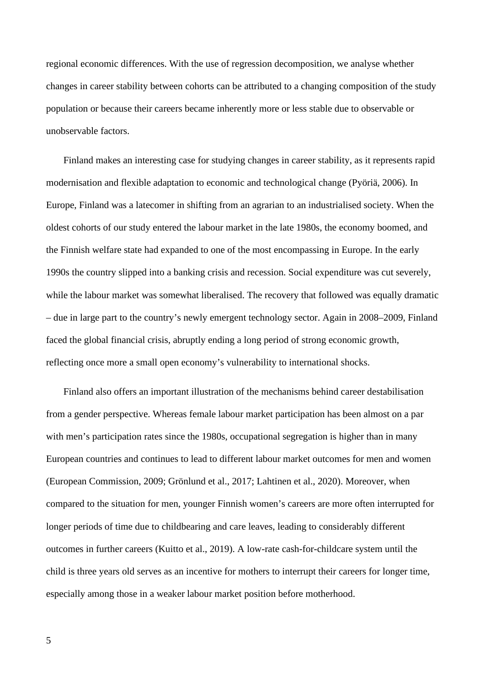regional economic differences. With the use of regression decomposition, we analyse whether changes in career stability between cohorts can be attributed to a changing composition of the study population or because their careers became inherently more or less stable due to observable or unobservable factors.

Finland makes an interesting case for studying changes in career stability, as it represents rapid modernisation and flexible adaptation to economic and technological change (Pyöriä, 2006). In Europe, Finland was a latecomer in shifting from an agrarian to an industrialised society. When the oldest cohorts of our study entered the labour market in the late 1980s, the economy boomed, and the Finnish welfare state had expanded to one of the most encompassing in Europe. In the early 1990s the country slipped into a banking crisis and recession. Social expenditure was cut severely, while the labour market was somewhat liberalised. The recovery that followed was equally dramatic – due in large part to the country's newly emergent technology sector. Again in 2008–2009, Finland faced the global financial crisis, abruptly ending a long period of strong economic growth, reflecting once more a small open economy's vulnerability to international shocks.

Finland also offers an important illustration of the mechanisms behind career destabilisation from a gender perspective. Whereas female labour market participation has been almost on a par with men's participation rates since the 1980s, occupational segregation is higher than in many European countries and continues to lead to different labour market outcomes for men and women (European Commission, 2009; Grönlund et al., 2017; Lahtinen et al., 2020). Moreover, when compared to the situation for men, younger Finnish women's careers are more often interrupted for longer periods of time due to childbearing and care leaves, leading to considerably different outcomes in further careers (Kuitto et al., 2019). A low-rate cash-for-childcare system until the child is three years old serves as an incentive for mothers to interrupt their careers for longer time, especially among those in a weaker labour market position before motherhood.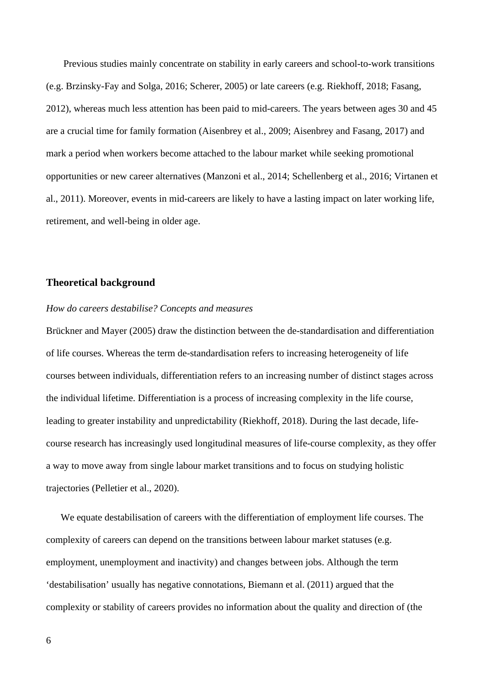Previous studies mainly concentrate on stability in early careers and school-to-work transitions (e.g. Brzinsky-Fay and Solga, 2016; Scherer, 2005) or late careers (e.g. Riekhoff, 2018; Fasang, 2012), whereas much less attention has been paid to mid-careers. The years between ages 30 and 45 are a crucial time for family formation (Aisenbrey et al., 2009; Aisenbrey and Fasang, 2017) and mark a period when workers become attached to the labour market while seeking promotional opportunities or new career alternatives (Manzoni et al., 2014; Schellenberg et al., 2016; Virtanen et al., 2011). Moreover, events in mid-careers are likely to have a lasting impact on later working life, retirement, and well-being in older age.

## **Theoretical background**

## *How do careers destabilise? Concepts and measures*

Brückner and Mayer (2005) draw the distinction between the de-standardisation and differentiation of life courses. Whereas the term de-standardisation refers to increasing heterogeneity of life courses between individuals, differentiation refers to an increasing number of distinct stages across the individual lifetime. Differentiation is a process of increasing complexity in the life course, leading to greater instability and unpredictability (Riekhoff, 2018). During the last decade, lifecourse research has increasingly used longitudinal measures of life-course complexity, as they offer a way to move away from single labour market transitions and to focus on studying holistic trajectories (Pelletier et al., 2020).

We equate destabilisation of careers with the differentiation of employment life courses. The complexity of careers can depend on the transitions between labour market statuses (e.g. employment, unemployment and inactivity) and changes between jobs. Although the term 'destabilisation' usually has negative connotations, Biemann et al. (2011) argued that the complexity or stability of careers provides no information about the quality and direction of (the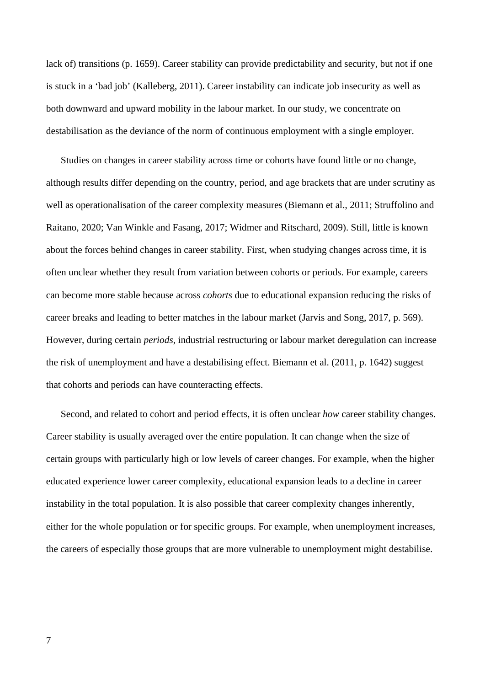lack of) transitions (p. 1659). Career stability can provide predictability and security, but not if one is stuck in a 'bad job' (Kalleberg, 2011). Career instability can indicate job insecurity as well as both downward and upward mobility in the labour market. In our study, we concentrate on destabilisation as the deviance of the norm of continuous employment with a single employer.

Studies on changes in career stability across time or cohorts have found little or no change, although results differ depending on the country, period, and age brackets that are under scrutiny as well as operationalisation of the career complexity measures (Biemann et al., 2011; Struffolino and Raitano, 2020; Van Winkle and Fasang, 2017; Widmer and Ritschard, 2009). Still, little is known about the forces behind changes in career stability. First, when studying changes across time, it is often unclear whether they result from variation between cohorts or periods. For example, careers can become more stable because across *cohorts* due to educational expansion reducing the risks of career breaks and leading to better matches in the labour market (Jarvis and Song, 2017, p. 569). However, during certain *periods*, industrial restructuring or labour market deregulation can increase the risk of unemployment and have a destabilising effect. Biemann et al. (2011, p. 1642) suggest that cohorts and periods can have counteracting effects.

Second, and related to cohort and period effects, it is often unclear *how* career stability changes. Career stability is usually averaged over the entire population. It can change when the size of certain groups with particularly high or low levels of career changes. For example, when the higher educated experience lower career complexity, educational expansion leads to a decline in career instability in the total population. It is also possible that career complexity changes inherently, either for the whole population or for specific groups. For example, when unemployment increases, the careers of especially those groups that are more vulnerable to unemployment might destabilise.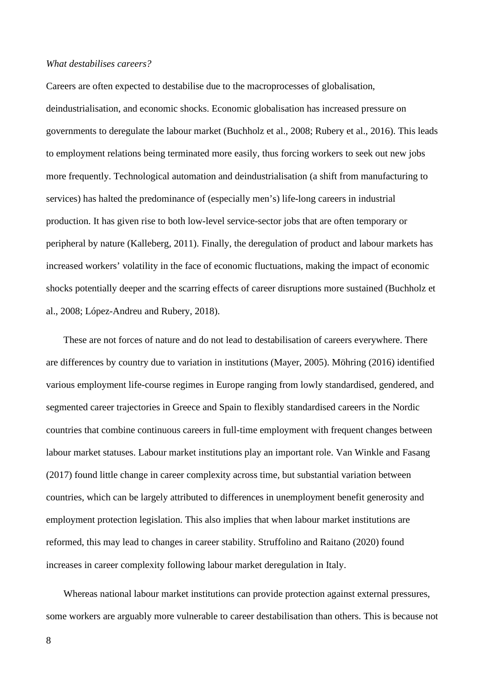#### *What destabilises careers?*

Careers are often expected to destabilise due to the macroprocesses of globalisation, deindustrialisation, and economic shocks. Economic globalisation has increased pressure on governments to deregulate the labour market (Buchholz et al., 2008; Rubery et al., 2016). This leads to employment relations being terminated more easily, thus forcing workers to seek out new jobs more frequently. Technological automation and deindustrialisation (a shift from manufacturing to services) has halted the predominance of (especially men's) life-long careers in industrial production. It has given rise to both low-level service-sector jobs that are often temporary or peripheral by nature (Kalleberg, 2011). Finally, the deregulation of product and labour markets has increased workers' volatility in the face of economic fluctuations, making the impact of economic shocks potentially deeper and the scarring effects of career disruptions more sustained (Buchholz et al., 2008; López-Andreu and Rubery, 2018).

These are not forces of nature and do not lead to destabilisation of careers everywhere. There are differences by country due to variation in institutions (Mayer, 2005). Möhring (2016) identified various employment life-course regimes in Europe ranging from lowly standardised, gendered, and segmented career trajectories in Greece and Spain to flexibly standardised careers in the Nordic countries that combine continuous careers in full-time employment with frequent changes between labour market statuses. Labour market institutions play an important role. Van Winkle and Fasang (2017) found little change in career complexity across time, but substantial variation between countries, which can be largely attributed to differences in unemployment benefit generosity and employment protection legislation. This also implies that when labour market institutions are reformed, this may lead to changes in career stability. Struffolino and Raitano (2020) found increases in career complexity following labour market deregulation in Italy.

Whereas national labour market institutions can provide protection against external pressures, some workers are arguably more vulnerable to career destabilisation than others. This is because not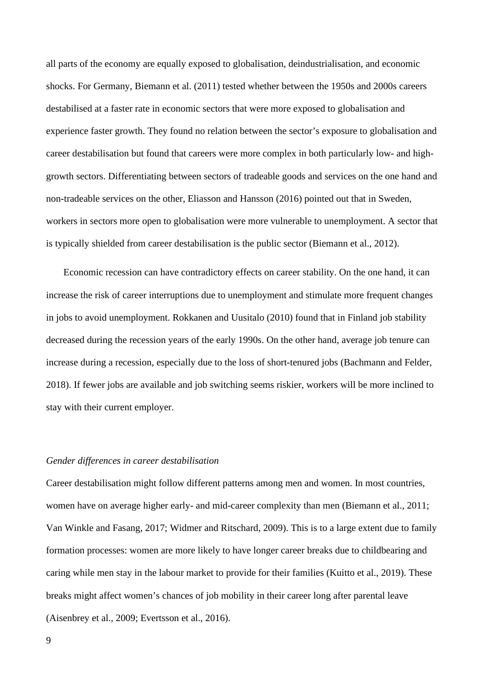all parts of the economy are equally exposed to globalisation, deindustrialisation, and economic shocks. For Germany, Biemann et al. (2011) tested whether between the 1950s and 2000s careers destabilised at a faster rate in economic sectors that were more exposed to globalisation and experience faster growth. They found no relation between the sector's exposure to globalisation and career destabilisation but found that careers were more complex in both particularly low- and highgrowth sectors. Differentiating between sectors of tradeable goods and services on the one hand and non-tradeable services on the other, Eliasson and Hansson (2016) pointed out that in Sweden, workers in sectors more open to globalisation were more vulnerable to unemployment. A sector that is typically shielded from career destabilisation is the public sector (Biemann et al., 2012).

Economic recession can have contradictory effects on career stability. On the one hand, it can increase the risk of career interruptions due to unemployment and stimulate more frequent changes in jobs to avoid unemployment. Rokkanen and Uusitalo (2010) found that in Finland job stability decreased during the recession years of the early 1990s. On the other hand, average job tenure can increase during a recession, especially due to the loss of short-tenured jobs (Bachmann and Felder, 2018). If fewer jobs are available and job switching seems riskier, workers will be more inclined to stay with their current employer.

#### *Gender differences in career destabilisation*

Career destabilisation might follow different patterns among men and women. In most countries, women have on average higher early- and mid-career complexity than men (Biemann et al., 2011; Van Winkle and Fasang, 2017; Widmer and Ritschard, 2009). This is to a large extent due to family formation processes: women are more likely to have longer career breaks due to childbearing and caring while men stay in the labour market to provide for their families (Kuitto et al., 2019). These breaks might affect women's chances of job mobility in their career long after parental leave (Aisenbrey et al., 2009; Evertsson et al., 2016).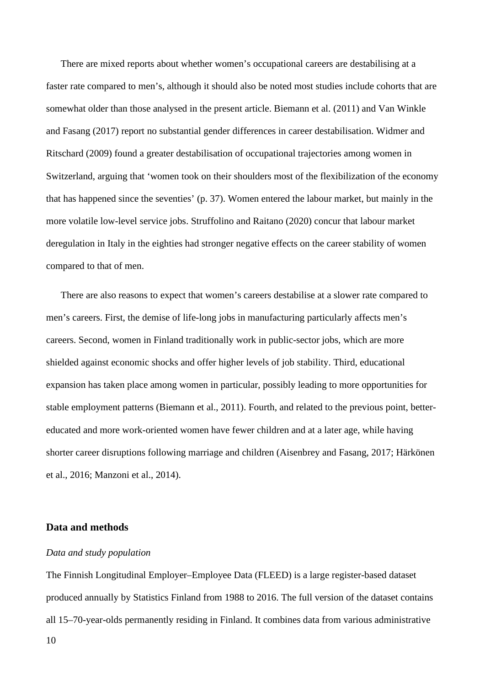There are mixed reports about whether women's occupational careers are destabilising at a faster rate compared to men's, although it should also be noted most studies include cohorts that are somewhat older than those analysed in the present article. Biemann et al. (2011) and Van Winkle and Fasang (2017) report no substantial gender differences in career destabilisation. Widmer and Ritschard (2009) found a greater destabilisation of occupational trajectories among women in Switzerland, arguing that 'women took on their shoulders most of the flexibilization of the economy that has happened since the seventies' (p. 37). Women entered the labour market, but mainly in the more volatile low-level service jobs. Struffolino and Raitano (2020) concur that labour market deregulation in Italy in the eighties had stronger negative effects on the career stability of women compared to that of men.

There are also reasons to expect that women's careers destabilise at a slower rate compared to men's careers. First, the demise of life-long jobs in manufacturing particularly affects men's careers. Second, women in Finland traditionally work in public-sector jobs, which are more shielded against economic shocks and offer higher levels of job stability. Third, educational expansion has taken place among women in particular, possibly leading to more opportunities for stable employment patterns (Biemann et al., 2011). Fourth, and related to the previous point, bettereducated and more work-oriented women have fewer children and at a later age, while having shorter career disruptions following marriage and children (Aisenbrey and Fasang, 2017; Härkönen et al., 2016; Manzoni et al., 2014).

## **Data and methods**

## *Data and study population*

The Finnish Longitudinal Employer–Employee Data (FLEED) is a large register-based dataset produced annually by Statistics Finland from 1988 to 2016. The full version of the dataset contains all 15–70-year-olds permanently residing in Finland. It combines data from various administrative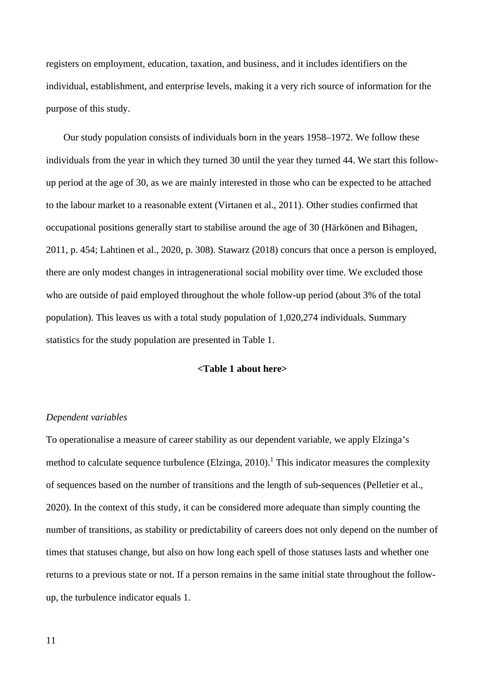registers on employment, education, taxation, and business, and it includes identifiers on the individual, establishment, and enterprise levels, making it a very rich source of information for the purpose of this study.

Our study population consists of individuals born in the years 1958–1972. We follow these individuals from the year in which they turned 30 until the year they turned 44. We start this followup period at the age of 30, as we are mainly interested in those who can be expected to be attached to the labour market to a reasonable extent (Virtanen et al., 2011). Other studies confirmed that occupational positions generally start to stabilise around the age of 30 (Härkönen and Bihagen, 2011, p. 454; Lahtinen et al., 2020, p. 308). Stawarz (2018) concurs that once a person is employed, there are only modest changes in intragenerational social mobility over time. We excluded those who are outside of paid employed throughout the whole follow-up period (about 3% of the total population). This leaves us with a total study population of 1,020,274 individuals. Summary statistics for the study population are presented in Table 1.

## **<Table 1 about here>**

## *Dependent variables*

To operationalise a measure of career stability as our dependent variable, we apply Elzinga's method to calculate sequence turbulence (Elzinga, 2010).<sup>1</sup> This indicator measures the complexity of sequences based on the number of transitions and the length of sub-sequences (Pelletier et al., 2020). In the context of this study, it can be considered more adequate than simply counting the number of transitions, as stability or predictability of careers does not only depend on the number of times that statuses change, but also on how long each spell of those statuses lasts and whether one returns to a previous state or not. If a person remains in the same initial state throughout the followup, the turbulence indicator equals 1.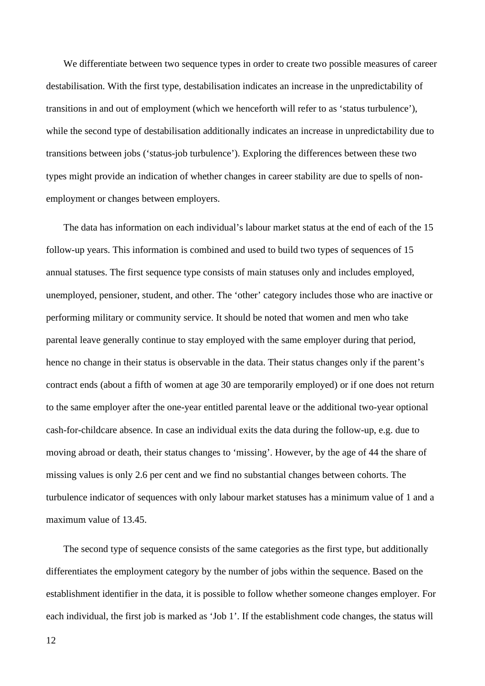We differentiate between two sequence types in order to create two possible measures of career destabilisation. With the first type, destabilisation indicates an increase in the unpredictability of transitions in and out of employment (which we henceforth will refer to as 'status turbulence'), while the second type of destabilisation additionally indicates an increase in unpredictability due to transitions between jobs ('status-job turbulence'). Exploring the differences between these two types might provide an indication of whether changes in career stability are due to spells of nonemployment or changes between employers.

The data has information on each individual's labour market status at the end of each of the 15 follow-up years. This information is combined and used to build two types of sequences of 15 annual statuses. The first sequence type consists of main statuses only and includes employed, unemployed, pensioner, student, and other. The 'other' category includes those who are inactive or performing military or community service. It should be noted that women and men who take parental leave generally continue to stay employed with the same employer during that period, hence no change in their status is observable in the data. Their status changes only if the parent's contract ends (about a fifth of women at age 30 are temporarily employed) or if one does not return to the same employer after the one-year entitled parental leave or the additional two-year optional cash-for-childcare absence. In case an individual exits the data during the follow-up, e.g. due to moving abroad or death, their status changes to 'missing'. However, by the age of 44 the share of missing values is only 2.6 per cent and we find no substantial changes between cohorts. The turbulence indicator of sequences with only labour market statuses has a minimum value of 1 and a maximum value of 13.45.

The second type of sequence consists of the same categories as the first type, but additionally differentiates the employment category by the number of jobs within the sequence. Based on the establishment identifier in the data, it is possible to follow whether someone changes employer. For each individual, the first job is marked as 'Job 1'. If the establishment code changes, the status will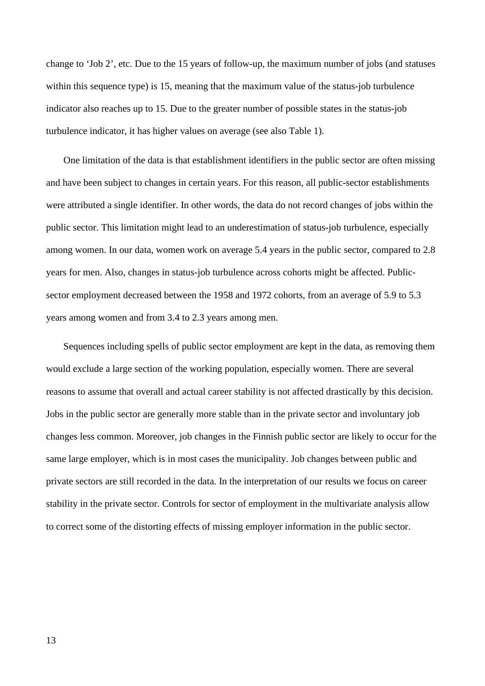change to 'Job 2', etc. Due to the 15 years of follow-up, the maximum number of jobs (and statuses within this sequence type) is 15, meaning that the maximum value of the status-job turbulence indicator also reaches up to 15. Due to the greater number of possible states in the status-job turbulence indicator, it has higher values on average (see also Table 1).

One limitation of the data is that establishment identifiers in the public sector are often missing and have been subject to changes in certain years. For this reason, all public-sector establishments were attributed a single identifier. In other words, the data do not record changes of jobs within the public sector. This limitation might lead to an underestimation of status-job turbulence, especially among women. In our data, women work on average 5.4 years in the public sector, compared to 2.8 years for men. Also, changes in status-job turbulence across cohorts might be affected. Publicsector employment decreased between the 1958 and 1972 cohorts, from an average of 5.9 to 5.3 years among women and from 3.4 to 2.3 years among men.

Sequences including spells of public sector employment are kept in the data, as removing them would exclude a large section of the working population, especially women. There are several reasons to assume that overall and actual career stability is not affected drastically by this decision. Jobs in the public sector are generally more stable than in the private sector and involuntary job changes less common. Moreover, job changes in the Finnish public sector are likely to occur for the same large employer, which is in most cases the municipality. Job changes between public and private sectors are still recorded in the data. In the interpretation of our results we focus on career stability in the private sector. Controls for sector of employment in the multivariate analysis allow to correct some of the distorting effects of missing employer information in the public sector.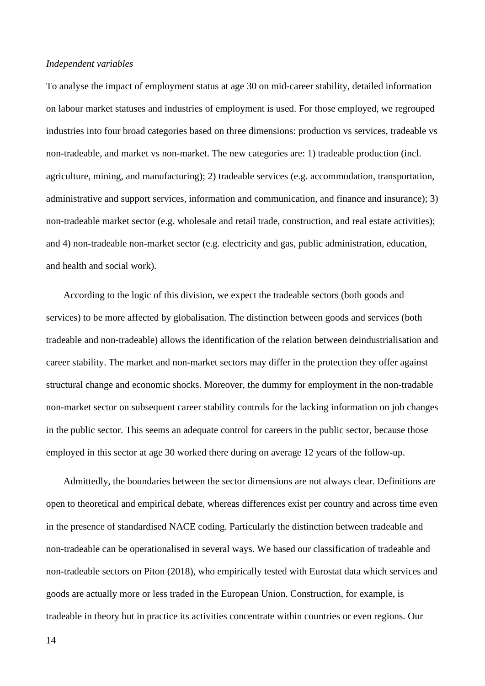#### *Independent variables*

To analyse the impact of employment status at age 30 on mid-career stability, detailed information on labour market statuses and industries of employment is used. For those employed, we regrouped industries into four broad categories based on three dimensions: production vs services, tradeable vs non-tradeable, and market vs non-market. The new categories are: 1) tradeable production (incl. agriculture, mining, and manufacturing); 2) tradeable services (e.g. accommodation, transportation, administrative and support services, information and communication, and finance and insurance); 3) non-tradeable market sector (e.g. wholesale and retail trade, construction, and real estate activities); and 4) non-tradeable non-market sector (e.g. electricity and gas, public administration, education, and health and social work).

According to the logic of this division, we expect the tradeable sectors (both goods and services) to be more affected by globalisation. The distinction between goods and services (both tradeable and non-tradeable) allows the identification of the relation between deindustrialisation and career stability. The market and non-market sectors may differ in the protection they offer against structural change and economic shocks. Moreover, the dummy for employment in the non-tradable non-market sector on subsequent career stability controls for the lacking information on job changes in the public sector. This seems an adequate control for careers in the public sector, because those employed in this sector at age 30 worked there during on average 12 years of the follow-up.

Admittedly, the boundaries between the sector dimensions are not always clear. Definitions are open to theoretical and empirical debate, whereas differences exist per country and across time even in the presence of standardised NACE coding. Particularly the distinction between tradeable and non-tradeable can be operationalised in several ways. We based our classification of tradeable and non-tradeable sectors on Piton (2018), who empirically tested with Eurostat data which services and goods are actually more or less traded in the European Union. Construction, for example, is tradeable in theory but in practice its activities concentrate within countries or even regions. Our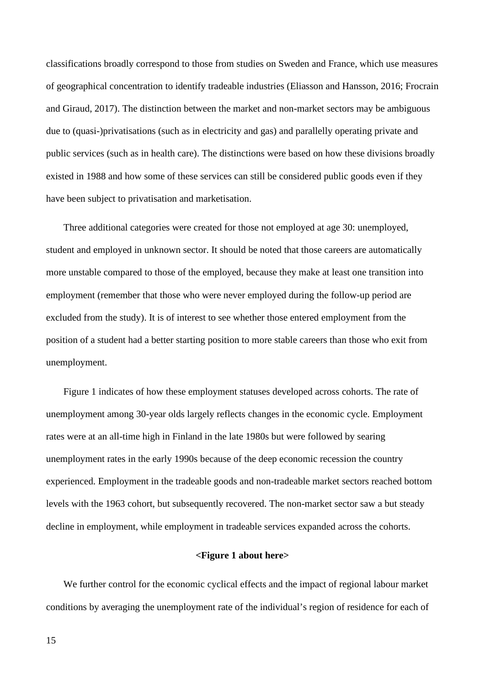classifications broadly correspond to those from studies on Sweden and France, which use measures of geographical concentration to identify tradeable industries (Eliasson and Hansson, 2016; Frocrain and Giraud, 2017). The distinction between the market and non-market sectors may be ambiguous due to (quasi-)privatisations (such as in electricity and gas) and parallelly operating private and public services (such as in health care). The distinctions were based on how these divisions broadly existed in 1988 and how some of these services can still be considered public goods even if they have been subject to privatisation and marketisation.

Three additional categories were created for those not employed at age 30: unemployed, student and employed in unknown sector. It should be noted that those careers are automatically more unstable compared to those of the employed, because they make at least one transition into employment (remember that those who were never employed during the follow-up period are excluded from the study). It is of interest to see whether those entered employment from the position of a student had a better starting position to more stable careers than those who exit from unemployment.

Figure 1 indicates of how these employment statuses developed across cohorts. The rate of unemployment among 30-year olds largely reflects changes in the economic cycle. Employment rates were at an all-time high in Finland in the late 1980s but were followed by searing unemployment rates in the early 1990s because of the deep economic recession the country experienced. Employment in the tradeable goods and non-tradeable market sectors reached bottom levels with the 1963 cohort, but subsequently recovered. The non-market sector saw a but steady decline in employment, while employment in tradeable services expanded across the cohorts.

### **<Figure 1 about here>**

We further control for the economic cyclical effects and the impact of regional labour market conditions by averaging the unemployment rate of the individual's region of residence for each of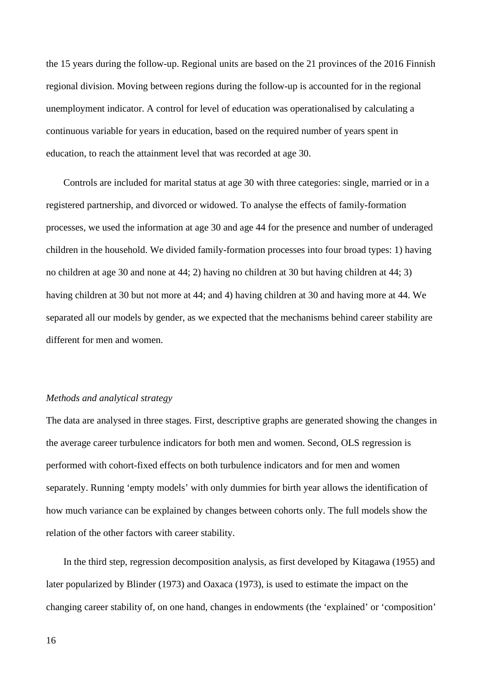the 15 years during the follow-up. Regional units are based on the 21 provinces of the 2016 Finnish regional division. Moving between regions during the follow-up is accounted for in the regional unemployment indicator. A control for level of education was operationalised by calculating a continuous variable for years in education, based on the required number of years spent in education, to reach the attainment level that was recorded at age 30.

Controls are included for marital status at age 30 with three categories: single, married or in a registered partnership, and divorced or widowed. To analyse the effects of family-formation processes, we used the information at age 30 and age 44 for the presence and number of underaged children in the household. We divided family-formation processes into four broad types: 1) having no children at age 30 and none at 44; 2) having no children at 30 but having children at 44; 3) having children at 30 but not more at 44; and 4) having children at 30 and having more at 44. We separated all our models by gender, as we expected that the mechanisms behind career stability are different for men and women.

## *Methods and analytical strategy*

The data are analysed in three stages. First, descriptive graphs are generated showing the changes in the average career turbulence indicators for both men and women. Second, OLS regression is performed with cohort-fixed effects on both turbulence indicators and for men and women separately. Running 'empty models' with only dummies for birth year allows the identification of how much variance can be explained by changes between cohorts only. The full models show the relation of the other factors with career stability.

In the third step, regression decomposition analysis, as first developed by Kitagawa (1955) and later popularized by Blinder (1973) and Oaxaca (1973), is used to estimate the impact on the changing career stability of, on one hand, changes in endowments (the 'explained' or 'composition'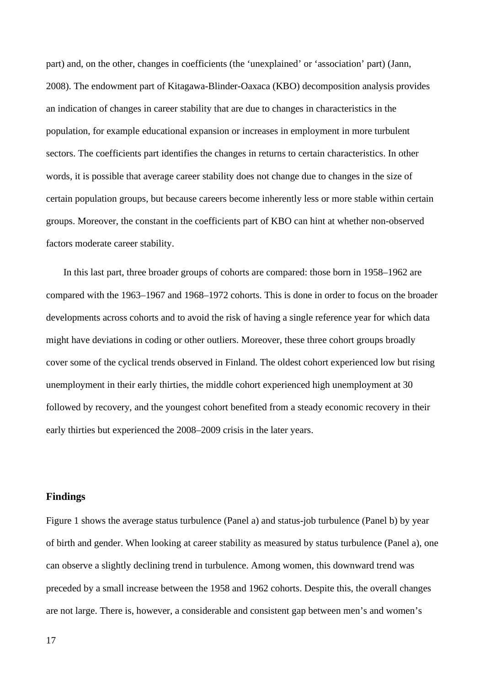part) and, on the other, changes in coefficients (the 'unexplained' or 'association' part) (Jann, 2008). The endowment part of Kitagawa-Blinder-Oaxaca (KBO) decomposition analysis provides an indication of changes in career stability that are due to changes in characteristics in the population, for example educational expansion or increases in employment in more turbulent sectors. The coefficients part identifies the changes in returns to certain characteristics. In other words, it is possible that average career stability does not change due to changes in the size of certain population groups, but because careers become inherently less or more stable within certain groups. Moreover, the constant in the coefficients part of KBO can hint at whether non-observed factors moderate career stability.

In this last part, three broader groups of cohorts are compared: those born in 1958–1962 are compared with the 1963–1967 and 1968–1972 cohorts. This is done in order to focus on the broader developments across cohorts and to avoid the risk of having a single reference year for which data might have deviations in coding or other outliers. Moreover, these three cohort groups broadly cover some of the cyclical trends observed in Finland. The oldest cohort experienced low but rising unemployment in their early thirties, the middle cohort experienced high unemployment at 30 followed by recovery, and the youngest cohort benefited from a steady economic recovery in their early thirties but experienced the 2008–2009 crisis in the later years.

## **Findings**

Figure 1 shows the average status turbulence (Panel a) and status-job turbulence (Panel b) by year of birth and gender. When looking at career stability as measured by status turbulence (Panel a), one can observe a slightly declining trend in turbulence. Among women, this downward trend was preceded by a small increase between the 1958 and 1962 cohorts. Despite this, the overall changes are not large. There is, however, a considerable and consistent gap between men's and women's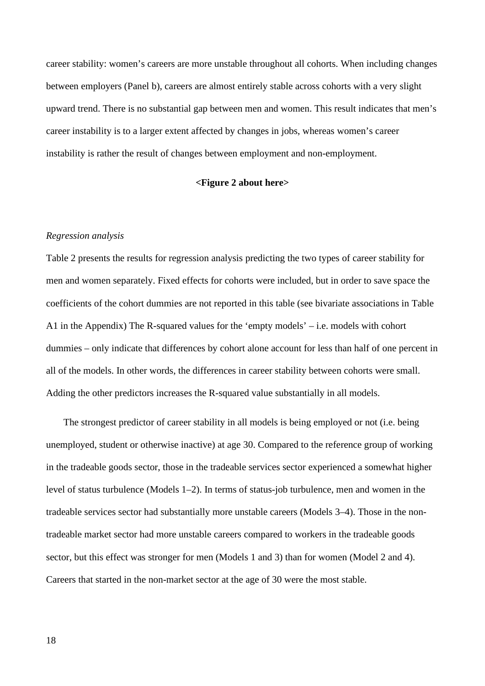career stability: women's careers are more unstable throughout all cohorts. When including changes between employers (Panel b), careers are almost entirely stable across cohorts with a very slight upward trend. There is no substantial gap between men and women. This result indicates that men's career instability is to a larger extent affected by changes in jobs, whereas women's career instability is rather the result of changes between employment and non-employment.

## **<Figure 2 about here>**

#### *Regression analysis*

Table 2 presents the results for regression analysis predicting the two types of career stability for men and women separately. Fixed effects for cohorts were included, but in order to save space the coefficients of the cohort dummies are not reported in this table (see bivariate associations in Table A1 in the Appendix) The R-squared values for the 'empty models' – i.e. models with cohort dummies – only indicate that differences by cohort alone account for less than half of one percent in all of the models. In other words, the differences in career stability between cohorts were small. Adding the other predictors increases the R-squared value substantially in all models.

The strongest predictor of career stability in all models is being employed or not (i.e. being unemployed, student or otherwise inactive) at age 30. Compared to the reference group of working in the tradeable goods sector, those in the tradeable services sector experienced a somewhat higher level of status turbulence (Models 1–2). In terms of status-job turbulence, men and women in the tradeable services sector had substantially more unstable careers (Models 3–4). Those in the nontradeable market sector had more unstable careers compared to workers in the tradeable goods sector, but this effect was stronger for men (Models 1 and 3) than for women (Model 2 and 4). Careers that started in the non-market sector at the age of 30 were the most stable.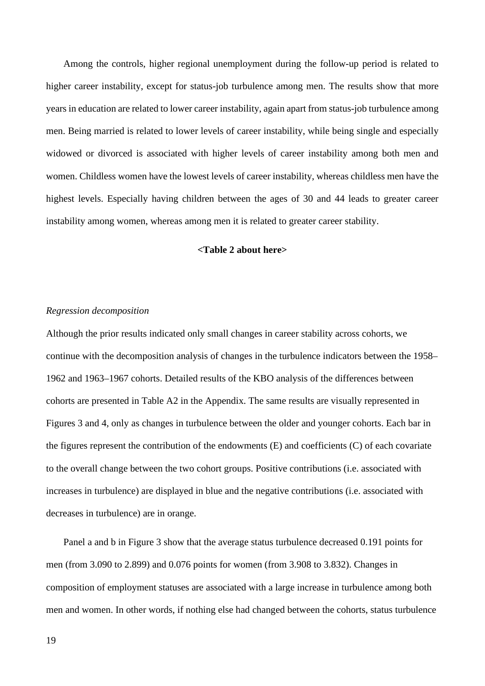Among the controls, higher regional unemployment during the follow-up period is related to higher career instability, except for status-job turbulence among men. The results show that more years in education are related to lower career instability, again apart from status-job turbulence among men. Being married is related to lower levels of career instability, while being single and especially widowed or divorced is associated with higher levels of career instability among both men and women. Childless women have the lowest levels of career instability, whereas childless men have the highest levels. Especially having children between the ages of 30 and 44 leads to greater career instability among women, whereas among men it is related to greater career stability.

#### **<Table 2 about here>**

### *Regression decomposition*

Although the prior results indicated only small changes in career stability across cohorts, we continue with the decomposition analysis of changes in the turbulence indicators between the 1958– 1962 and 1963–1967 cohorts. Detailed results of the KBO analysis of the differences between cohorts are presented in Table A2 in the Appendix. The same results are visually represented in Figures 3 and 4, only as changes in turbulence between the older and younger cohorts. Each bar in the figures represent the contribution of the endowments (E) and coefficients (C) of each covariate to the overall change between the two cohort groups. Positive contributions (i.e. associated with increases in turbulence) are displayed in blue and the negative contributions (i.e. associated with decreases in turbulence) are in orange.

Panel a and b in Figure 3 show that the average status turbulence decreased 0.191 points for men (from 3.090 to 2.899) and 0.076 points for women (from 3.908 to 3.832). Changes in composition of employment statuses are associated with a large increase in turbulence among both men and women. In other words, if nothing else had changed between the cohorts, status turbulence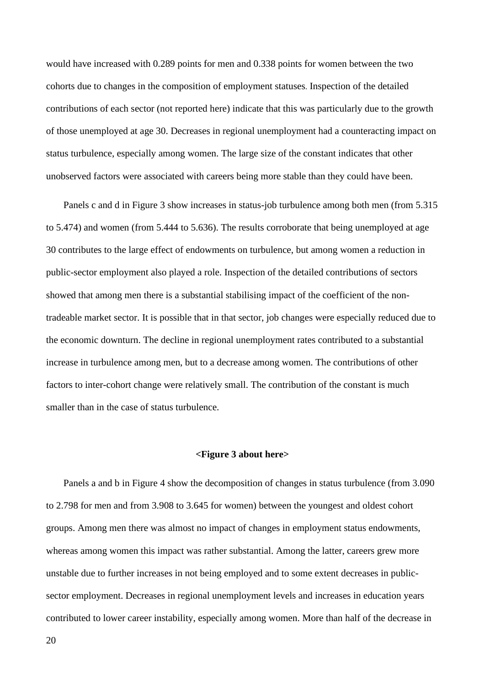would have increased with 0.289 points for men and 0.338 points for women between the two cohorts due to changes in the composition of employment statuses. Inspection of the detailed contributions of each sector (not reported here) indicate that this was particularly due to the growth of those unemployed at age 30. Decreases in regional unemployment had a counteracting impact on status turbulence, especially among women. The large size of the constant indicates that other unobserved factors were associated with careers being more stable than they could have been.

Panels c and d in Figure 3 show increases in status-job turbulence among both men (from 5.315 to 5.474) and women (from 5.444 to 5.636). The results corroborate that being unemployed at age 30 contributes to the large effect of endowments on turbulence, but among women a reduction in public-sector employment also played a role. Inspection of the detailed contributions of sectors showed that among men there is a substantial stabilising impact of the coefficient of the nontradeable market sector. It is possible that in that sector, job changes were especially reduced due to the economic downturn. The decline in regional unemployment rates contributed to a substantial increase in turbulence among men, but to a decrease among women. The contributions of other factors to inter-cohort change were relatively small. The contribution of the constant is much smaller than in the case of status turbulence.

#### **<Figure 3 about here>**

Panels a and b in Figure 4 show the decomposition of changes in status turbulence (from 3.090 to 2.798 for men and from 3.908 to 3.645 for women) between the youngest and oldest cohort groups. Among men there was almost no impact of changes in employment status endowments, whereas among women this impact was rather substantial. Among the latter, careers grew more unstable due to further increases in not being employed and to some extent decreases in publicsector employment. Decreases in regional unemployment levels and increases in education years contributed to lower career instability, especially among women. More than half of the decrease in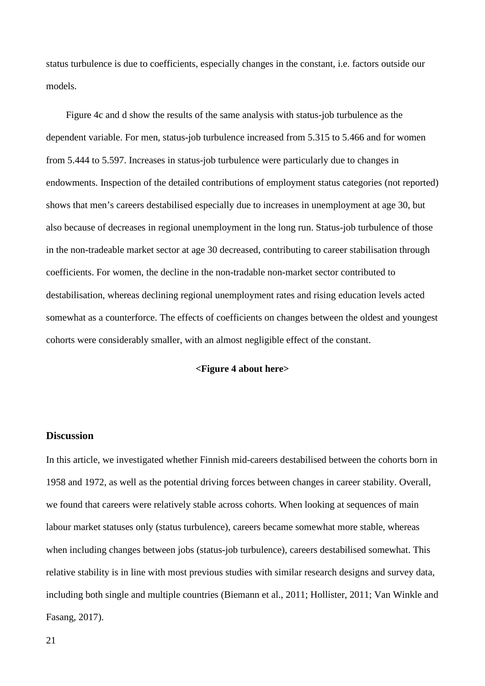status turbulence is due to coefficients, especially changes in the constant, i.e. factors outside our models.

Figure 4c and d show the results of the same analysis with status-job turbulence as the dependent variable. For men, status-job turbulence increased from 5.315 to 5.466 and for women from 5.444 to 5.597. Increases in status-job turbulence were particularly due to changes in endowments. Inspection of the detailed contributions of employment status categories (not reported) shows that men's careers destabilised especially due to increases in unemployment at age 30, but also because of decreases in regional unemployment in the long run. Status-job turbulence of those in the non-tradeable market sector at age 30 decreased, contributing to career stabilisation through coefficients. For women, the decline in the non-tradable non-market sector contributed to destabilisation, whereas declining regional unemployment rates and rising education levels acted somewhat as a counterforce. The effects of coefficients on changes between the oldest and youngest cohorts were considerably smaller, with an almost negligible effect of the constant.

## **<Figure 4 about here>**

## **Discussion**

In this article, we investigated whether Finnish mid-careers destabilised between the cohorts born in 1958 and 1972, as well as the potential driving forces between changes in career stability. Overall, we found that careers were relatively stable across cohorts. When looking at sequences of main labour market statuses only (status turbulence), careers became somewhat more stable, whereas when including changes between jobs (status-job turbulence), careers destabilised somewhat. This relative stability is in line with most previous studies with similar research designs and survey data, including both single and multiple countries (Biemann et al., 2011; Hollister, 2011; Van Winkle and Fasang, 2017).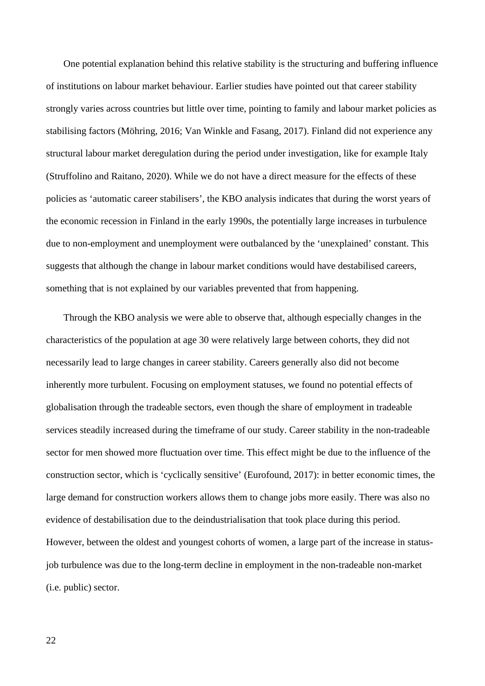One potential explanation behind this relative stability is the structuring and buffering influence of institutions on labour market behaviour. Earlier studies have pointed out that career stability strongly varies across countries but little over time, pointing to family and labour market policies as stabilising factors (Möhring, 2016; Van Winkle and Fasang, 2017). Finland did not experience any structural labour market deregulation during the period under investigation, like for example Italy (Struffolino and Raitano, 2020). While we do not have a direct measure for the effects of these policies as 'automatic career stabilisers', the KBO analysis indicates that during the worst years of the economic recession in Finland in the early 1990s, the potentially large increases in turbulence due to non-employment and unemployment were outbalanced by the 'unexplained' constant. This suggests that although the change in labour market conditions would have destabilised careers, something that is not explained by our variables prevented that from happening.

Through the KBO analysis we were able to observe that, although especially changes in the characteristics of the population at age 30 were relatively large between cohorts, they did not necessarily lead to large changes in career stability. Careers generally also did not become inherently more turbulent. Focusing on employment statuses, we found no potential effects of globalisation through the tradeable sectors, even though the share of employment in tradeable services steadily increased during the timeframe of our study. Career stability in the non-tradeable sector for men showed more fluctuation over time. This effect might be due to the influence of the construction sector, which is 'cyclically sensitive' (Eurofound, 2017): in better economic times, the large demand for construction workers allows them to change jobs more easily. There was also no evidence of destabilisation due to the deindustrialisation that took place during this period. However, between the oldest and youngest cohorts of women, a large part of the increase in statusjob turbulence was due to the long-term decline in employment in the non-tradeable non-market (i.e. public) sector.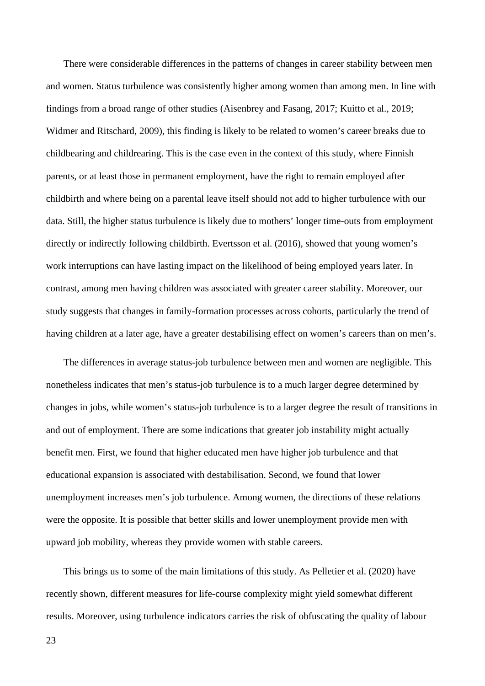There were considerable differences in the patterns of changes in career stability between men and women. Status turbulence was consistently higher among women than among men. In line with findings from a broad range of other studies (Aisenbrey and Fasang, 2017; Kuitto et al., 2019; Widmer and Ritschard, 2009), this finding is likely to be related to women's career breaks due to childbearing and childrearing. This is the case even in the context of this study, where Finnish parents, or at least those in permanent employment, have the right to remain employed after childbirth and where being on a parental leave itself should not add to higher turbulence with our data. Still, the higher status turbulence is likely due to mothers' longer time-outs from employment directly or indirectly following childbirth. Evertsson et al. (2016), showed that young women's work interruptions can have lasting impact on the likelihood of being employed years later. In contrast, among men having children was associated with greater career stability. Moreover, our study suggests that changes in family-formation processes across cohorts, particularly the trend of having children at a later age, have a greater destabilising effect on women's careers than on men's.

The differences in average status-job turbulence between men and women are negligible. This nonetheless indicates that men's status-job turbulence is to a much larger degree determined by changes in jobs, while women's status-job turbulence is to a larger degree the result of transitions in and out of employment. There are some indications that greater job instability might actually benefit men. First, we found that higher educated men have higher job turbulence and that educational expansion is associated with destabilisation. Second, we found that lower unemployment increases men's job turbulence. Among women, the directions of these relations were the opposite. It is possible that better skills and lower unemployment provide men with upward job mobility, whereas they provide women with stable careers.

This brings us to some of the main limitations of this study. As Pelletier et al. (2020) have recently shown, different measures for life-course complexity might yield somewhat different results. Moreover, using turbulence indicators carries the risk of obfuscating the quality of labour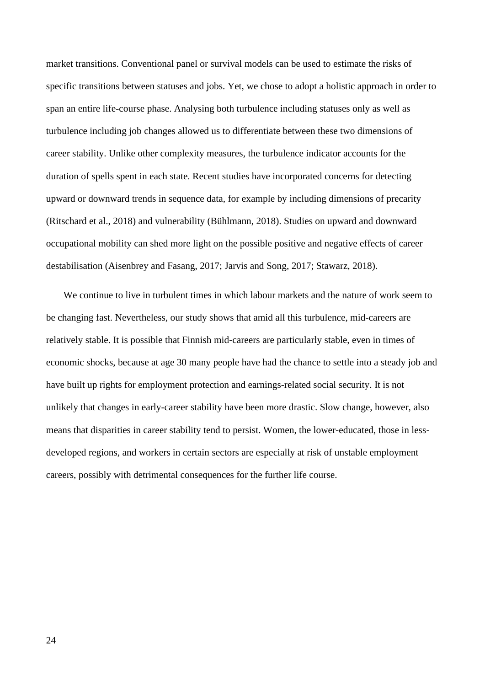market transitions. Conventional panel or survival models can be used to estimate the risks of specific transitions between statuses and jobs. Yet, we chose to adopt a holistic approach in order to span an entire life-course phase. Analysing both turbulence including statuses only as well as turbulence including job changes allowed us to differentiate between these two dimensions of career stability. Unlike other complexity measures, the turbulence indicator accounts for the duration of spells spent in each state. Recent studies have incorporated concerns for detecting upward or downward trends in sequence data, for example by including dimensions of precarity (Ritschard et al., 2018) and vulnerability (Bühlmann, 2018). Studies on upward and downward occupational mobility can shed more light on the possible positive and negative effects of career destabilisation (Aisenbrey and Fasang, 2017; Jarvis and Song, 2017; Stawarz, 2018).

We continue to live in turbulent times in which labour markets and the nature of work seem to be changing fast. Nevertheless, our study shows that amid all this turbulence, mid-careers are relatively stable. It is possible that Finnish mid-careers are particularly stable, even in times of economic shocks, because at age 30 many people have had the chance to settle into a steady job and have built up rights for employment protection and earnings-related social security. It is not unlikely that changes in early-career stability have been more drastic. Slow change, however, also means that disparities in career stability tend to persist. Women, the lower-educated, those in lessdeveloped regions, and workers in certain sectors are especially at risk of unstable employment careers, possibly with detrimental consequences for the further life course.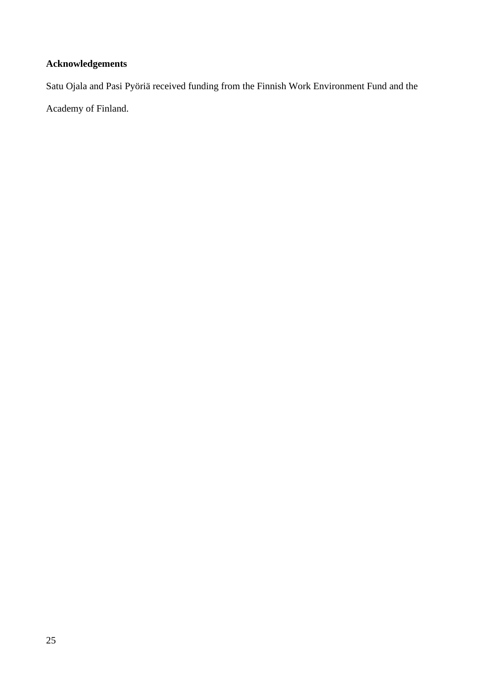## **Acknowledgements**

Satu Ojala and Pasi Pyöriä received funding from the Finnish Work Environment Fund and the

Academy of Finland.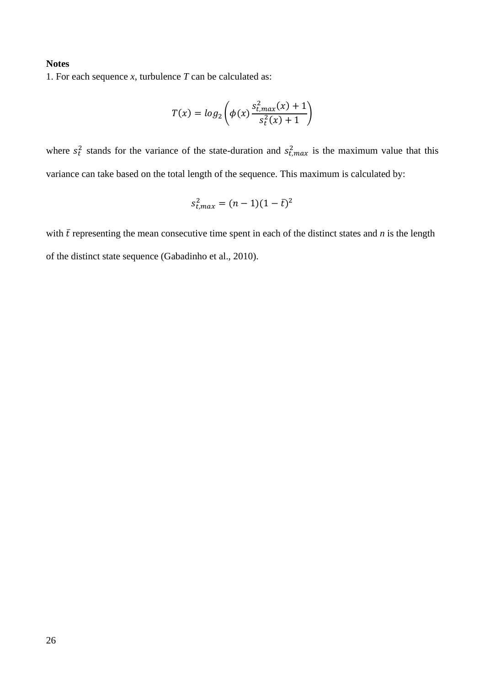## **Notes**

1. For each sequence *x*, turbulence *T* can be calculated as:

$$
T(x) = log_2 \left( \phi(x) \frac{s_{t,max}^2(x) + 1}{s_t^2(x) + 1} \right)
$$

where  $s_t^2$  stands for the variance of the state-duration and  $s_{t,max}^2$  is the maximum value that this variance can take based on the total length of the sequence. This maximum is calculated by:

$$
s_{t,max}^2 = (n-1)(1-\bar{t})^2
$$

with  $\bar{t}$  representing the mean consecutive time spent in each of the distinct states and  $n$  is the length of the distinct state sequence (Gabadinho et al., 2010).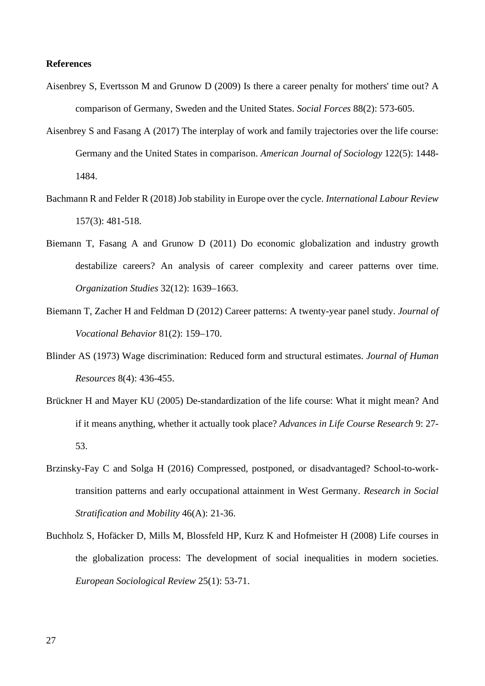## **References**

- Aisenbrey S, Evertsson M and Grunow D (2009) Is there a career penalty for mothers' time out? A comparison of Germany, Sweden and the United States. *Social Forces* 88(2): 573-605.
- Aisenbrey S and Fasang A (2017) The interplay of work and family trajectories over the life course: Germany and the United States in comparison. *American Journal of Sociology* 122(5): 1448- 1484.
- Bachmann R and Felder R (2018) Job stability in Europe over the cycle. *International Labour Review* 157(3): 481-518.
- Biemann T, Fasang A and Grunow D (2011) Do economic globalization and industry growth destabilize careers? An analysis of career complexity and career patterns over time. *Organization Studies* 32(12): 1639–1663.
- Biemann T, Zacher H and Feldman D (2012) Career patterns: A twenty-year panel study. *Journal of Vocational Behavior* 81(2): 159–170.
- Blinder AS (1973) Wage discrimination: Reduced form and structural estimates. *Journal of Human Resources* 8(4): 436-455.
- Brückner H and Mayer KU (2005) De-standardization of the life course: What it might mean? And if it means anything, whether it actually took place? *Advances in Life Course Research* 9: 27- 53.
- Brzinsky-Fay C and Solga H (2016) Compressed, postponed, or disadvantaged? School-to-worktransition patterns and early occupational attainment in West Germany. *Research in Social Stratification and Mobility* 46(A): 21-36.
- Buchholz S, Hofäcker D, Mills M, Blossfeld HP, Kurz K and Hofmeister H (2008) Life courses in the globalization process: The development of social inequalities in modern societies. *European Sociological Review* 25(1): 53-71.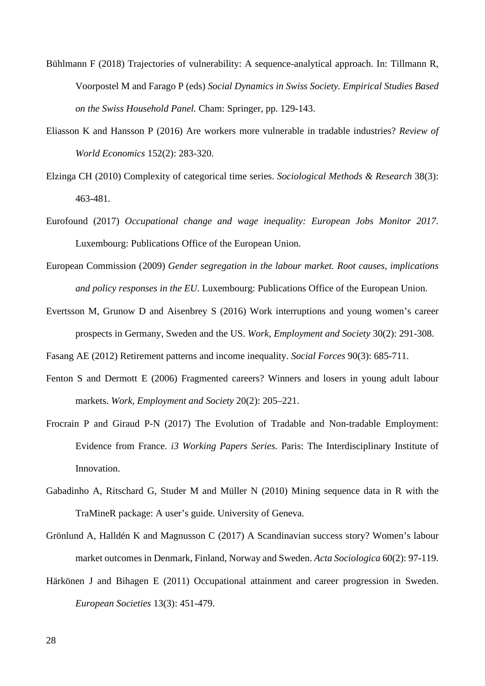- Bühlmann F (2018) Trajectories of vulnerability: A sequence-analytical approach. In: Tillmann R, Voorpostel M and Farago P (eds) *Social Dynamics in Swiss Society. Empirical Studies Based on the Swiss Household Panel.* Cham: Springer, pp. 129-143.
- Eliasson K and Hansson P (2016) Are workers more vulnerable in tradable industries? *Review of World Economics* 152(2): 283-320.
- Elzinga CH (2010) Complexity of categorical time series. *Sociological Methods & Research* 38(3): 463-481.
- Eurofound (2017) *Occupational change and wage inequality: European Jobs Monitor 2017*. Luxembourg: Publications Office of the European Union.
- European Commission (2009) *Gender segregation in the labour market. Root causes, implications and policy responses in the EU*. Luxembourg: Publications Office of the European Union.
- Evertsson M, Grunow D and Aisenbrey S (2016) Work interruptions and young women's career prospects in Germany, Sweden and the US. *Work, Employment and Society* 30(2): 291-308.
- Fasang AE (2012) Retirement patterns and income inequality. *Social Forces* 90(3): 685-711.
- Fenton S and Dermott E (2006) Fragmented careers? Winners and losers in young adult labour markets. *Work, Employment and Society* 20(2): 205–221.
- Frocrain P and Giraud P-N (2017) The Evolution of Tradable and Non-tradable Employment: Evidence from France. *i3 Working Papers Series.* Paris: The Interdisciplinary Institute of Innovation.
- Gabadinho A, Ritschard G, Studer M and Müller N (2010) Mining sequence data in R with the TraMineR package: A user's guide. University of Geneva.
- Grönlund A, Halldén K and Magnusson C (2017) A Scandinavian success story? Women's labour market outcomes in Denmark, Finland, Norway and Sweden. *Acta Sociologica* 60(2): 97-119.
- Härkönen J and Bihagen E (2011) Occupational attainment and career progression in Sweden. *European Societies* 13(3): 451-479.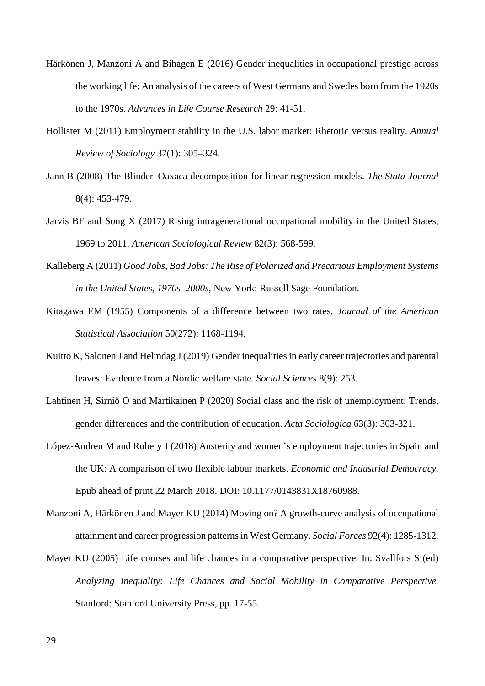- Härkönen J, Manzoni A and Bihagen E (2016) Gender inequalities in occupational prestige across the working life: An analysis of the careers of West Germans and Swedes born from the 1920s to the 1970s. *Advances in Life Course Research* 29: 41-51.
- Hollister M (2011) Employment stability in the U.S. labor market: Rhetoric versus reality. *Annual Review of Sociology* 37(1): 305–324.
- Jann B (2008) The Blinder–Oaxaca decomposition for linear regression models. *The Stata Journal* 8(4): 453-479.
- Jarvis BF and Song X (2017) Rising intragenerational occupational mobility in the United States, 1969 to 2011. *American Sociological Review* 82(3): 568-599.
- Kalleberg A (2011) *Good Jobs, Bad Jobs: The Rise of Polarized and Precarious Employment Systems in the United States, 1970s–2000s,* New York: Russell Sage Foundation.
- Kitagawa EM (1955) Components of a difference between two rates. *Journal of the American Statistical Association* 50(272): 1168-1194.
- Kuitto K, Salonen J and Helmdag J (2019) Gender inequalities in early career trajectories and parental leaves: Evidence from a Nordic welfare state. *Social Sciences* 8(9): 253.
- Lahtinen H, Sirniö O and Martikainen P (2020) Social class and the risk of unemployment: Trends, gender differences and the contribution of education. *Acta Sociologica* 63(3): 303-321.
- López-Andreu M and Rubery J (2018) Austerity and women's employment trajectories in Spain and the UK: A comparison of two flexible labour markets. *Economic and Industrial Democracy*. Epub ahead of print 22 March 2018. DOI: 10.1177/0143831X18760988.
- Manzoni A, Härkönen J and Mayer KU (2014) Moving on? A growth-curve analysis of occupational attainment and career progression patterns in West Germany. *Social Forces* 92(4): 1285-1312.
- Mayer KU (2005) Life courses and life chances in a comparative perspective. In: Svallfors S (ed) *Analyzing Inequality: Life Chances and Social Mobility in Comparative Perspective.* Stanford: Stanford University Press, pp. 17-55.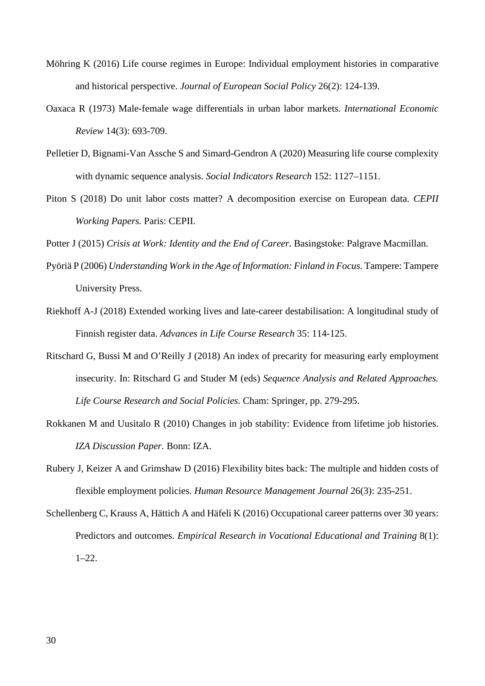- Möhring K (2016) Life course regimes in Europe: Individual employment histories in comparative and historical perspective. *Journal of European Social Policy* 26(2): 124-139.
- Oaxaca R (1973) Male-female wage differentials in urban labor markets. *International Economic Review* 14(3): 693-709.
- Pelletier D, Bignami-Van Assche S and Simard-Gendron A (2020) Measuring life course complexity with dynamic sequence analysis. *Social Indicators Research* 152: 1127–1151.
- Piton S (2018) Do unit labor costs matter? A decomposition exercise on European data. *CEPII Working Papers.* Paris: CEPII.

Potter J (2015) *Crisis at Work: Identity and the End of Career*. Basingstoke: Palgrave Macmillan.

- Pyöriä P (2006) *Understanding Work in the Age of Information: Finland in Focus*. Tampere: Tampere University Press.
- Riekhoff A-J (2018) Extended working lives and late-career destabilisation: A longitudinal study of Finnish register data. *Advances in Life Course Research* 35: 114-125.
- Ritschard G, Bussi M and O'Reilly J (2018) An index of precarity for measuring early employment insecurity. In: Ritschard G and Studer M (eds) *Sequence Analysis and Related Approaches. Life Course Research and Social Policies.* Cham: Springer, pp. 279-295.
- Rokkanen M and Uusitalo R (2010) Changes in job stability: Evidence from lifetime job histories. *IZA Discussion Paper.* Bonn: IZA.
- Rubery J, Keizer A and Grimshaw D (2016) Flexibility bites back: The multiple and hidden costs of flexible employment policies. *Human Resource Management Journal* 26(3): 235-251.
- Schellenberg C, Krauss A, Hättich A and Häfeli K (2016) Occupational career patterns over 30 years: Predictors and outcomes. *Empirical Research in Vocational Educational and Training* 8(1):  $1-22$ .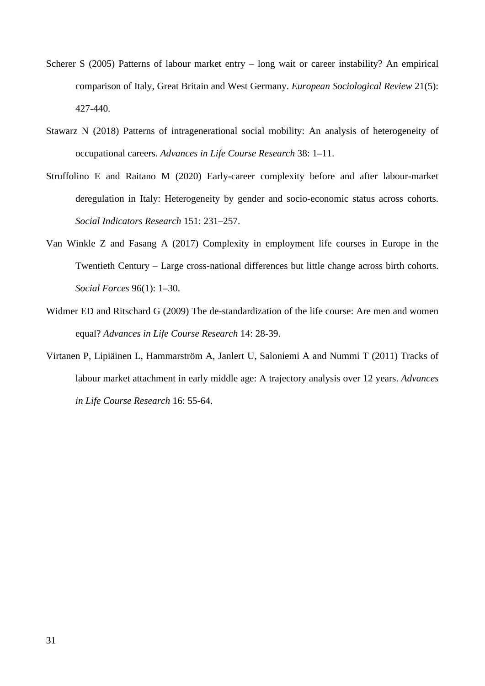- Scherer S (2005) Patterns of labour market entry long wait or career instability? An empirical comparison of Italy, Great Britain and West Germany. *European Sociological Review* 21(5): 427-440.
- Stawarz N (2018) Patterns of intragenerational social mobility: An analysis of heterogeneity of occupational careers. *Advances in Life Course Research* 38: 1–11.
- Struffolino E and Raitano M (2020) Early-career complexity before and after labour-market deregulation in Italy: Heterogeneity by gender and socio-economic status across cohorts. *Social Indicators Research* 151: 231–257.
- Van Winkle Z and Fasang A (2017) Complexity in employment life courses in Europe in the Twentieth Century – Large cross-national differences but little change across birth cohorts. *Social Forces* 96(1): 1–30.
- Widmer ED and Ritschard G (2009) The de-standardization of the life course: Are men and women equal? *Advances in Life Course Research* 14: 28-39.
- Virtanen P, Lipiäinen L, Hammarström A, Janlert U, Saloniemi A and Nummi T (2011) Tracks of labour market attachment in early middle age: A trajectory analysis over 12 years. *Advances in Life Course Research* 16: 55-64.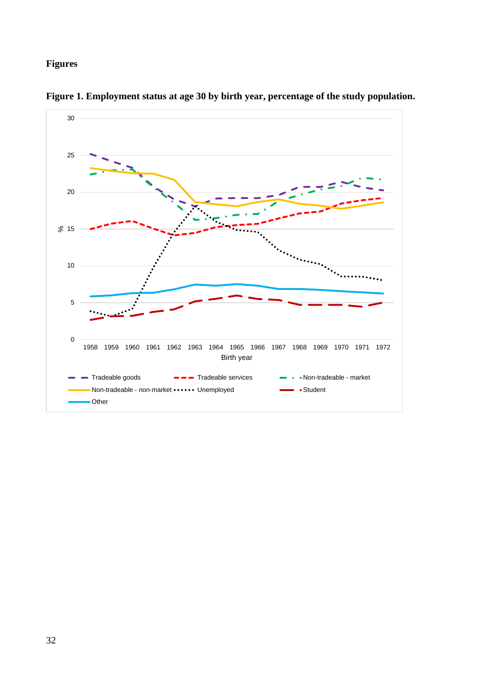## **Figures**



**Figure 1. Employment status at age 30 by birth year, percentage of the study population.**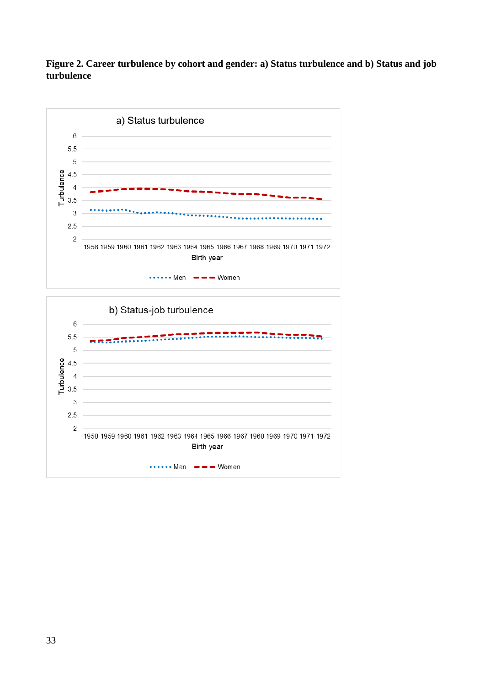## **Figure 2. Career turbulence by cohort and gender: a) Status turbulence and b) Status and job turbulence**



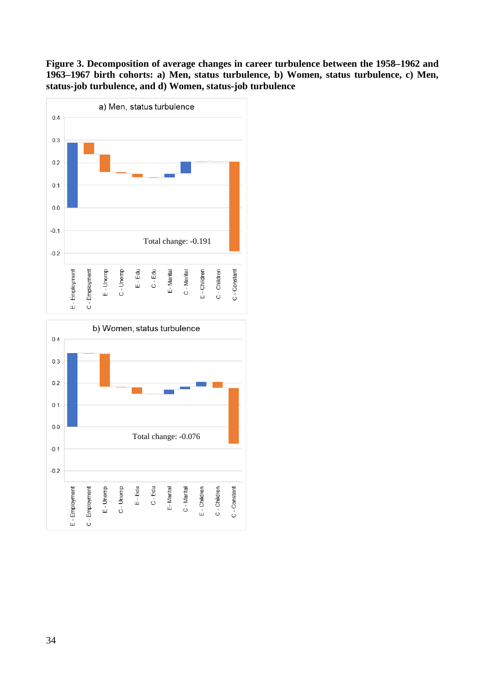**Figure 3. Decomposition of average changes in career turbulence between the 1958–1962 and 1963–1967 birth cohorts: a) Men, status turbulence, b) Women, status turbulence, c) Men, status-job turbulence, and d) Women, status-job turbulence**



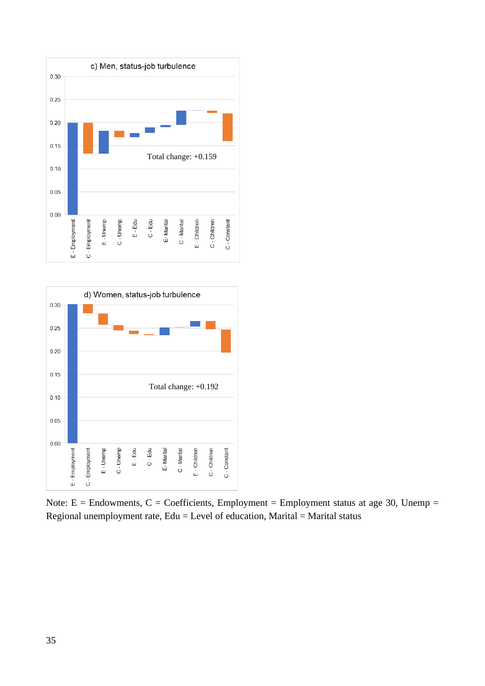



Note:  $E =$  Endowments,  $C =$  Coefficients, Employment = Employment status at age 30, Unemp = Regional unemployment rate,  $Edu = Level$  of education, Marital = Marital status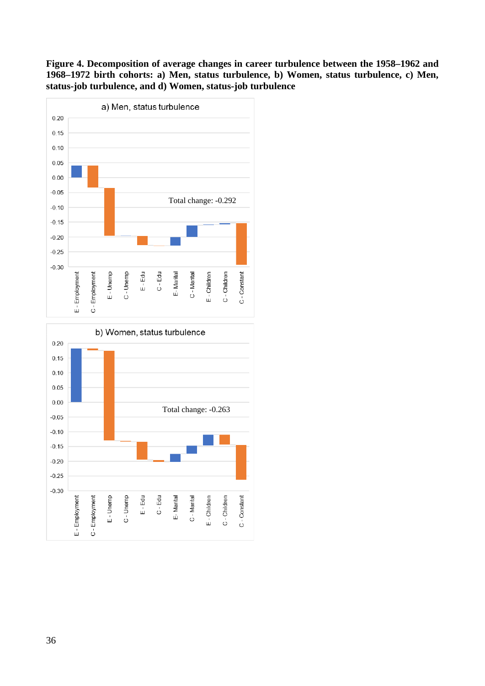## **Figure 4. Decomposition of average changes in career turbulence between the 1958–1962 and 1968–1972 birth cohorts: a) Men, status turbulence, b) Women, status turbulence, c) Men, status-job turbulence, and d) Women, status-job turbulence**





36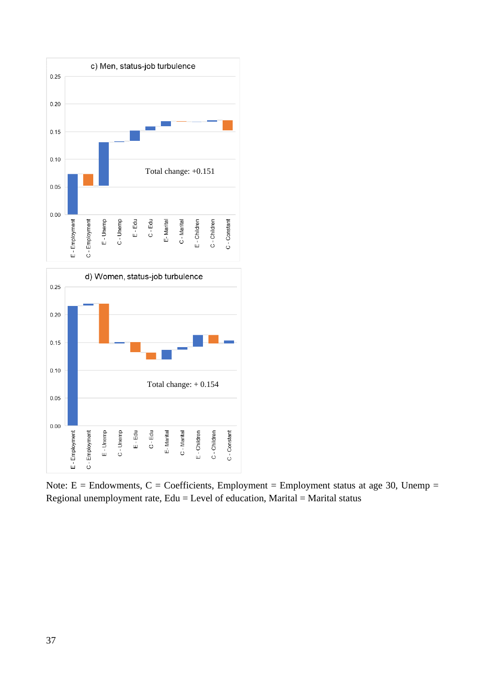

Note:  $E =$  Endowments,  $C =$  Coefficients, Employment = Employment status at age 30, Unemp = Regional unemployment rate,  $Edu = Level$  of education, Marital = Marital status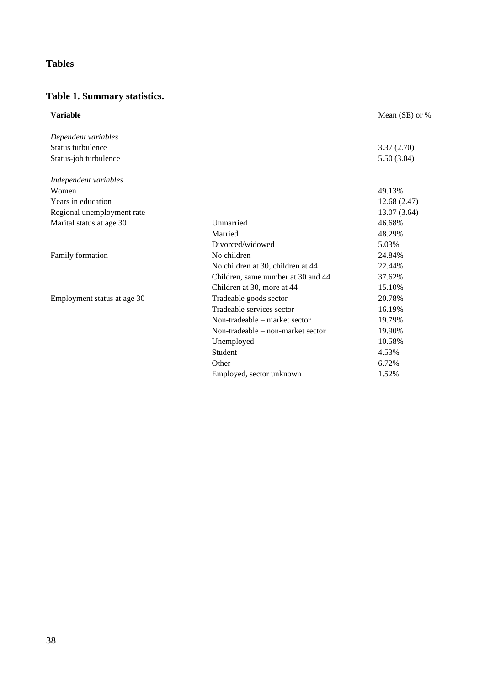## **Tables**

# **Table 1. Summary statistics.**

| <b>Variable</b>             |                                    | Mean (SE) or % |
|-----------------------------|------------------------------------|----------------|
|                             |                                    |                |
| Dependent variables         |                                    |                |
| Status turbulence           |                                    | 3.37(2.70)     |
| Status-job turbulence       |                                    | 5.50(3.04)     |
| Independent variables       |                                    |                |
| Women                       |                                    | 49.13%         |
| Years in education          |                                    | 12.68(2.47)    |
| Regional unemployment rate  |                                    | 13.07 (3.64)   |
| Marital status at age 30    | Unmarried                          | 46.68%         |
|                             | Married                            | 48.29%         |
|                             | Divorced/widowed                   | 5.03%          |
| Family formation            | No children                        | 24.84%         |
|                             | No children at 30, children at 44  | 22.44%         |
|                             | Children, same number at 30 and 44 | 37.62%         |
|                             | Children at 30, more at 44         | 15.10%         |
| Employment status at age 30 | Tradeable goods sector             | 20.78%         |
|                             | Tradeable services sector          | 16.19%         |
|                             | Non-tradeable – market sector      | 19.79%         |
|                             | Non-tradeable – non-market sector  | 19.90%         |
|                             | Unemployed                         | 10.58%         |
|                             | Student                            | 4.53%          |
|                             | Other                              | 6.72%          |
|                             | Employed, sector unknown           | 1.52%          |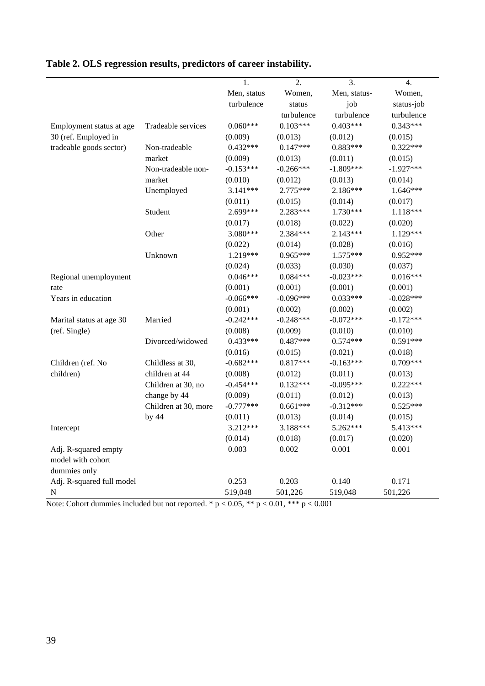|                           |                      | 1.          | 2.          | 3.           | 4.          |
|---------------------------|----------------------|-------------|-------------|--------------|-------------|
|                           |                      | Men, status | Women,      | Men, status- | Women,      |
|                           |                      | turbulence  | status      | job          | status-job  |
|                           |                      |             | turbulence  | turbulence   | turbulence  |
| Employment status at age  | Tradeable services   | $0.060***$  | $0.103***$  | $0.403***$   | $0.343***$  |
| 30 (ref. Employed in      |                      | (0.009)     | (0.013)     | (0.012)      | (0.015)     |
| tradeable goods sector)   | Non-tradeable        | $0.432***$  | $0.147***$  | $0.883***$   | $0.322***$  |
|                           | market               | (0.009)     | (0.013)     | (0.011)      | (0.015)     |
|                           | Non-tradeable non-   | $-0.153***$ | $-0.266***$ | $-1.809***$  | $-1.927***$ |
|                           | market               | (0.010)     | (0.012)     | (0.013)      | (0.014)     |
|                           | Unemployed           | $3.141***$  | 2.775***    | 2.186***     | $1.646***$  |
|                           |                      | (0.011)     | (0.015)     | (0.014)      | (0.017)     |
|                           | Student              | 2.699***    | 2.283***    | 1.730***     | 1.118***    |
|                           |                      | (0.017)     | (0.018)     | (0.022)      | (0.020)     |
|                           | Other                | 3.080***    | 2.384***    | $2.143***$   | 1.129***    |
|                           |                      | (0.022)     | (0.014)     | (0.028)      | (0.016)     |
|                           | Unknown              | 1.219***    | $0.965***$  | $1.575***$   | $0.952***$  |
|                           |                      | (0.024)     | (0.033)     | (0.030)      | (0.037)     |
| Regional unemployment     |                      | $0.046***$  | $0.084***$  | $-0.023***$  | $0.016***$  |
| rate                      |                      | (0.001)     | (0.001)     | (0.001)      | (0.001)     |
| Years in education        |                      | $-0.066***$ | $-0.096***$ | $0.033***$   | $-0.028***$ |
|                           |                      | (0.001)     | (0.002)     | (0.002)      | (0.002)     |
| Marital status at age 30  | Married              | $-0.242***$ | $-0.248***$ | $-0.072***$  | $-0.172***$ |
| (ref. Single)             |                      | (0.008)     | (0.009)     | (0.010)      | (0.010)     |
|                           | Divorced/widowed     | $0.433***$  | $0.487***$  | $0.574***$   | $0.591***$  |
|                           |                      | (0.016)     | (0.015)     | (0.021)      | (0.018)     |
| Children (ref. No         | Childless at 30,     | $-0.682***$ | $0.817***$  | $-0.163***$  | $0.709***$  |
| children)                 | children at 44       | (0.008)     | (0.012)     | (0.011)      | (0.013)     |
|                           | Children at 30, no   | $-0.454***$ | $0.132***$  | $-0.095***$  | $0.222***$  |
|                           | change by 44         | (0.009)     | (0.011)     | (0.012)      | (0.013)     |
|                           | Children at 30, more | $-0.777***$ | $0.661***$  | $-0.312***$  | $0.525***$  |
|                           | by $44$              | (0.011)     | (0.013)     | (0.014)      | (0.015)     |
| Intercept                 |                      | 3.212***    | 3.188***    | 5.262***     | 5.413***    |
|                           |                      | (0.014)     | (0.018)     | (0.017)      | (0.020)     |
| Adj. R-squared empty      |                      | 0.003       | 0.002       | 0.001        | 0.001       |
| model with cohort         |                      |             |             |              |             |
| dummies only              |                      |             |             |              |             |
| Adj. R-squared full model |                      | 0.253       | 0.203       | 0.140        | 0.171       |
| ${\bf N}$                 |                      | 519,048     | 501,226     | 519,048      | 501,226     |

# **Table 2. OLS regression results, predictors of career instability.**

Note: Cohort dummies included but not reported. \*  $p < 0.05$ , \*\*  $p < 0.01$ , \*\*\*  $p < 0.001$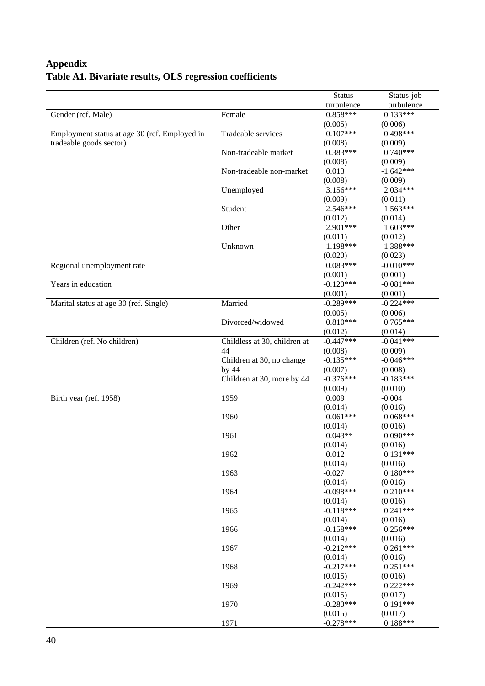# **Appendix Table A1. Bivariate results, OLS regression coefficients**

|                                               |                              | <b>Status</b> | Status-job  |
|-----------------------------------------------|------------------------------|---------------|-------------|
|                                               |                              | turbulence    | turbulence  |
| Gender (ref. Male)<br>Female                  |                              | $0.858***$    | $0.133***$  |
|                                               |                              | (0.005)       | (0.006)     |
| Employment status at age 30 (ref. Employed in | Tradeable services           | $0.107***$    | $0.498***$  |
| tradeable goods sector)                       |                              | (0.008)       | (0.009)     |
|                                               | Non-tradeable market         | $0.383***$    | $0.740***$  |
|                                               |                              | (0.008)       | (0.009)     |
|                                               | Non-tradeable non-market     | 0.013         | $-1.642***$ |
|                                               |                              | (0.008)       | (0.009)     |
|                                               | Unemployed                   | $3.156***$    | 2.034***    |
|                                               |                              | (0.009)       | (0.011)     |
|                                               | Student                      | 2.546***      | $1.563***$  |
|                                               |                              | (0.012)       | (0.014)     |
|                                               | Other                        | 2.901***      | $1.603***$  |
|                                               |                              | (0.011)       | (0.012)     |
|                                               | Unknown                      | 1.198***      | 1.388***    |
|                                               |                              | (0.020)       | (0.023)     |
| Regional unemployment rate                    |                              | $0.083***$    | $-0.010***$ |
|                                               |                              | (0.001)       | (0.001)     |
| Years in education                            |                              | $-0.120***$   | $-0.081***$ |
|                                               |                              | (0.001)       | (0.001)     |
| Marital status at age 30 (ref. Single)        | Married                      | $-0.289***$   | $-0.224***$ |
|                                               |                              | (0.005)       | (0.006)     |
|                                               | Divorced/widowed             | $0.810***$    | $0.765***$  |
|                                               |                              | (0.012)       | (0.014)     |
| Children (ref. No children)                   | Childless at 30, children at | $-0.447***$   | $-0.041***$ |
|                                               | 44                           | (0.008)       | (0.009)     |
|                                               | Children at 30, no change    | $-0.135***$   | $-0.046***$ |
|                                               | by 44                        | (0.007)       | (0.008)     |
|                                               | Children at 30, more by 44   | $-0.376***$   | $-0.183***$ |
|                                               |                              | (0.009)       | (0.010)     |
| Birth year (ref. 1958)                        | 1959                         | 0.009         | $-0.004$    |
|                                               |                              | (0.014)       | (0.016)     |
|                                               | 1960                         | $0.061***$    | $0.068***$  |
|                                               |                              | (0.014)       | (0.016)     |
|                                               | 1961                         | $0.043**$     | $0.090***$  |
|                                               |                              | (0.014)       | (0.016)     |
|                                               | 1962                         | 0.012         | $0.131***$  |
|                                               |                              | (0.014)       | (0.016)     |
|                                               | 1963                         | $-0.027$      | $0.180***$  |
|                                               |                              | (0.014)       | (0.016)     |
|                                               | 1964                         | $-0.098***$   | $0.210***$  |
|                                               |                              | (0.014)       | (0.016)     |
|                                               | 1965                         | $-0.118***$   | $0.241***$  |
|                                               |                              | (0.014)       | (0.016)     |
|                                               | 1966                         | $-0.158***$   | $0.256***$  |
|                                               |                              | (0.014)       | (0.016)     |
|                                               | 1967                         | $-0.212***$   | $0.261***$  |
|                                               |                              | (0.014)       | (0.016)     |
|                                               | 1968                         | $-0.217***$   | $0.251***$  |
|                                               |                              | (0.015)       | (0.016)     |
|                                               | 1969                         | $-0.242***$   | $0.222***$  |
|                                               |                              | (0.015)       | (0.017)     |
|                                               | 1970                         | $-0.280***$   | $0.191***$  |
|                                               |                              | (0.015)       | (0.017)     |
|                                               | 1971                         | $-0.278***$   | $0.188***$  |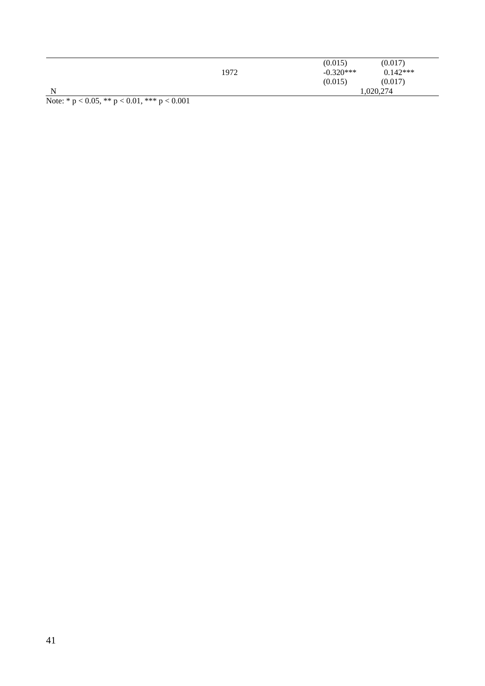|   |      | (0.015)     | (0.017)    |  |
|---|------|-------------|------------|--|
|   | 1972 | $-0.320***$ | $0.142***$ |  |
|   |      | (0.015)     | (0.017)    |  |
| N |      | 1,020,274   |            |  |

Note: \* p < 0.05, \*\* p < 0.01, \*\*\* p < 0.001